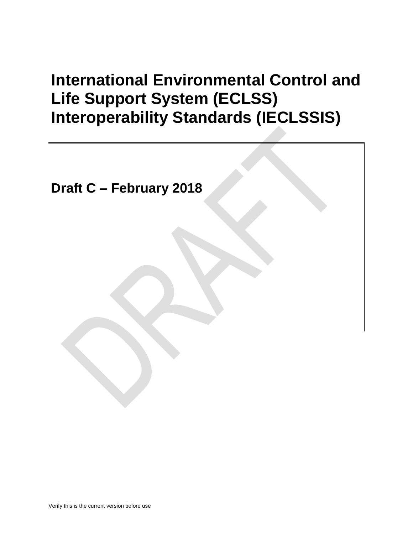# **International Environmental Control and Life Support System (ECLSS) Interoperability Standards (IECLSSIS)**

**Draft C – February 2018**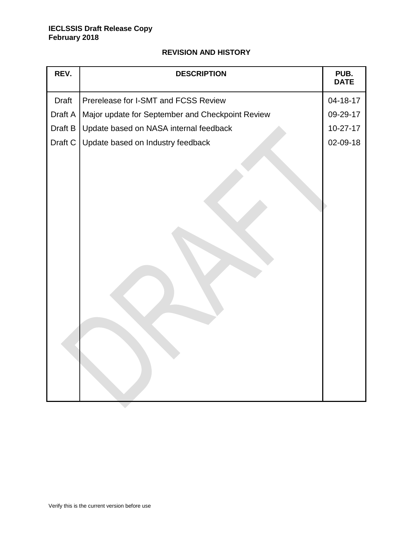# **REVISION AND HISTORY**

| REV.    | <b>DESCRIPTION</b>                               | PUB.<br><b>DATE</b> |
|---------|--------------------------------------------------|---------------------|
| Draft   | Prerelease for I-SMT and FCSS Review             | 04-18-17            |
| Draft A | Major update for September and Checkpoint Review | 09-29-17            |
| Draft B | Update based on NASA internal feedback           | $10-27-17$          |
| Draft C | Update based on Industry feedback                | 02-09-18            |
|         |                                                  |                     |

 $\overline{\phantom{0}}$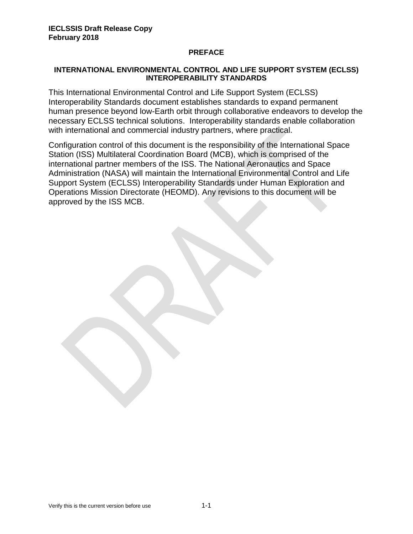#### **PREFACE**

#### **INTERNATIONAL ENVIRONMENTAL CONTROL AND LIFE SUPPORT SYSTEM (ECLSS) INTEROPERABILITY STANDARDS**

This International Environmental Control and Life Support System (ECLSS) Interoperability Standards document establishes standards to expand permanent human presence beyond low-Earth orbit through collaborative endeavors to develop the necessary ECLSS technical solutions. Interoperability standards enable collaboration with international and commercial industry partners, where practical.

Configuration control of this document is the responsibility of the International Space Station (ISS) Multilateral Coordination Board (MCB), which is comprised of the international partner members of the ISS. The National Aeronautics and Space Administration (NASA) will maintain the International Environmental Control and Life Support System (ECLSS) Interoperability Standards under Human Exploration and Operations Mission Directorate (HEOMD). Any revisions to this document will be approved by the ISS MCB.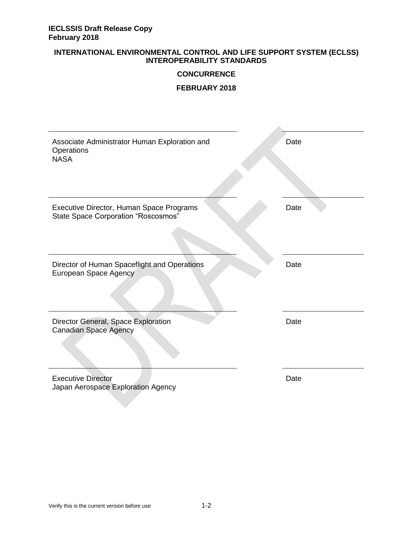#### **INTERNATIONAL ENVIRONMENTAL CONTROL AND LIFE SUPPORT SYSTEM (ECLSS) INTEROPERABILITY STANDARDS**

#### **CONCURRENCE**

#### **FEBRUARY 2018**

| Associate Administrator Human Exploration and<br>Operations<br><b>NASA</b>             | Date |
|----------------------------------------------------------------------------------------|------|
| Executive Director, Human Space Programs<br><b>State Space Corporation "Roscosmos"</b> | Date |
| Director of Human Spaceflight and Operations<br>European Space Agency                  | Date |
| Director General, Space Exploration<br><b>Canadian Space Agency</b>                    | Date |
| <b>Executive Director</b><br>Japan Aerospace Exploration Agency                        | Date |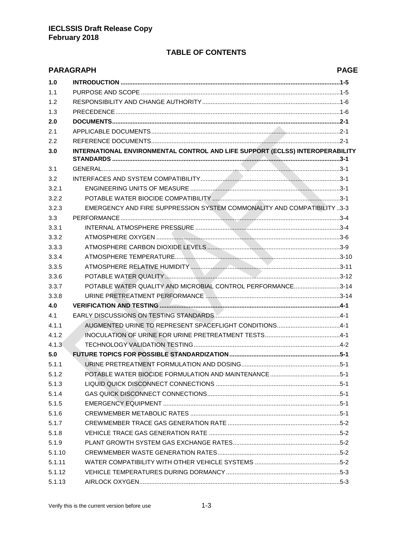# **TABLE OF CONTENTS**

|        | <b>PARAGRAPH</b>                                                              | <b>PAGE</b> |
|--------|-------------------------------------------------------------------------------|-------------|
| 1.0    |                                                                               |             |
| 1.1    |                                                                               |             |
| 1.2    |                                                                               |             |
| 1.3    |                                                                               |             |
| 2.0    |                                                                               |             |
| 2.1    |                                                                               |             |
| 2.2    |                                                                               |             |
| 3.0    | INTERNATIONAL ENVIRONMENTAL CONTROL AND LIFE SUPPORT (ECLSS) INTEROPERABILITY |             |
| 3.1    |                                                                               |             |
| 3.2    |                                                                               |             |
| 3.2.1  |                                                                               |             |
| 3.2.2  |                                                                               |             |
| 3.2.3  | EMERGENCY AND FIRE SUPPRESSION SYSTEM COMMONALITY AND COMPATIBILITY 3-3       |             |
| 3.3    |                                                                               |             |
| 3.3.1  |                                                                               |             |
| 3.3.2  |                                                                               |             |
| 3.3.3  |                                                                               |             |
| 3.3.4  |                                                                               |             |
| 3.3.5  |                                                                               |             |
| 3.3.6  |                                                                               |             |
| 3.3.7  | POTABLE WATER QUALITY AND MICROBIAL CONTROL PERFORMANCE3-14                   |             |
| 3.3.8  |                                                                               |             |
| 4.0    |                                                                               |             |
| 4.1    |                                                                               |             |
| 4.1.1  | AUGMENTED URINE TO REPRESENT SPACEFLIGHT CONDITIONS4-1                        |             |
| 4.1.2  |                                                                               |             |
| 4.1.3  |                                                                               |             |
| 5.0    |                                                                               |             |
| 5.1.1  |                                                                               |             |
| 5.1.2  |                                                                               |             |
| 5.1.3  |                                                                               |             |
| 5.1.4  |                                                                               |             |
| 5.1.5  |                                                                               |             |
| 5.1.6  |                                                                               |             |
| 5.1.7  |                                                                               |             |
| 5.1.8  |                                                                               |             |
| 5.1.9  |                                                                               |             |
| 5.1.10 |                                                                               |             |
| 5.1.11 |                                                                               |             |
| 5.1.12 |                                                                               |             |
| 5.1.13 |                                                                               |             |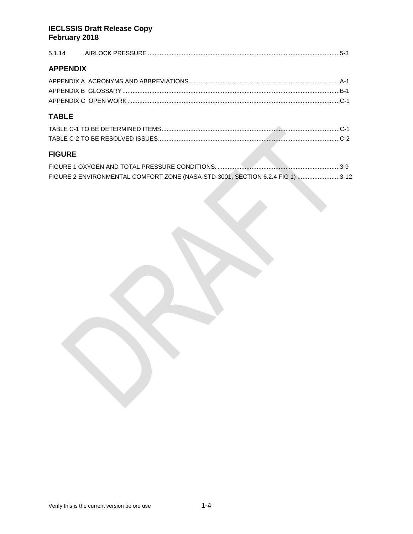| <b>APPENDIX</b> |                                                                               |  |
|-----------------|-------------------------------------------------------------------------------|--|
|                 |                                                                               |  |
|                 |                                                                               |  |
|                 |                                                                               |  |
| <b>TABLE</b>    |                                                                               |  |
|                 |                                                                               |  |
|                 |                                                                               |  |
| <b>FIGURE</b>   |                                                                               |  |
|                 |                                                                               |  |
|                 | FIGURE 2 ENVIRONMENTAL COMFORT ZONE (NASA-STD-3001, SECTION 6.2.4 FIG 1) 3-12 |  |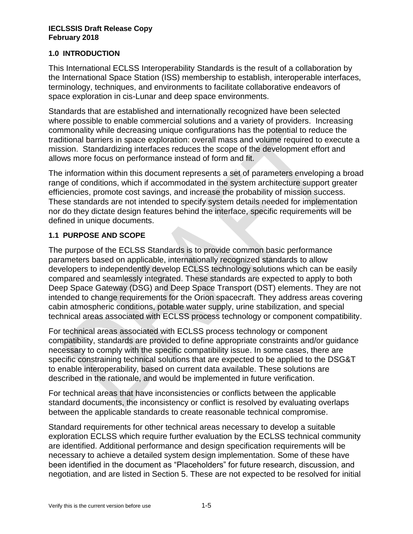## **1.0 INTRODUCTION**

This International ECLSS Interoperability Standards is the result of a collaboration by the International Space Station (ISS) membership to establish, interoperable interfaces, terminology, techniques, and environments to facilitate collaborative endeavors of space exploration in cis-Lunar and deep space environments.

Standards that are established and internationally recognized have been selected where possible to enable commercial solutions and a variety of providers. Increasing commonality while decreasing unique configurations has the potential to reduce the traditional barriers in space exploration: overall mass and volume required to execute a mission. Standardizing interfaces reduces the scope of the development effort and allows more focus on performance instead of form and fit.

The information within this document represents a set of parameters enveloping a broad range of conditions, which if accommodated in the system architecture support greater efficiencies, promote cost savings, and increase the probability of mission success. These standards are not intended to specify system details needed for implementation nor do they dictate design features behind the interface, specific requirements will be defined in unique documents.

# **1.1 PURPOSE AND SCOPE**

The purpose of the ECLSS Standards is to provide common basic performance parameters based on applicable, internationally recognized standards to allow developers to independently develop ECLSS technology solutions which can be easily compared and seamlessly integrated. These standards are expected to apply to both Deep Space Gateway (DSG) and Deep Space Transport (DST) elements. They are not intended to change requirements for the Orion spacecraft. They address areas covering cabin atmospheric conditions, potable water supply, urine stabilization, and special technical areas associated with ECLSS process technology or component compatibility.

For technical areas associated with ECLSS process technology or component compatibility, standards are provided to define appropriate constraints and/or guidance necessary to comply with the specific compatibility issue. In some cases, there are specific constraining technical solutions that are expected to be applied to the DSG&T to enable interoperability, based on current data available. These solutions are described in the rationale, and would be implemented in future verification.

For technical areas that have inconsistencies or conflicts between the applicable standard documents, the inconsistency or conflict is resolved by evaluating overlaps between the applicable standards to create reasonable technical compromise.

Standard requirements for other technical areas necessary to develop a suitable exploration ECLSS which require further evaluation by the ECLSS technical community are identified. Additional performance and design specification requirements will be necessary to achieve a detailed system design implementation. Some of these have been identified in the document as "Placeholders" for future research, discussion, and negotiation, and are listed in Section 5. These are not expected to be resolved for initial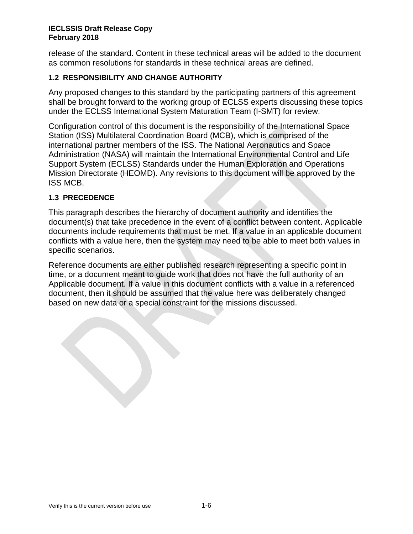release of the standard. Content in these technical areas will be added to the document as common resolutions for standards in these technical areas are defined.

# **1.2 RESPONSIBILITY AND CHANGE AUTHORITY**

Any proposed changes to this standard by the participating partners of this agreement shall be brought forward to the working group of ECLSS experts discussing these topics under the ECLSS International System Maturation Team (I-SMT) for review.

Configuration control of this document is the responsibility of the International Space Station (ISS) Multilateral Coordination Board (MCB), which is comprised of the international partner members of the ISS. The National Aeronautics and Space Administration (NASA) will maintain the International Environmental Control and Life Support System (ECLSS) Standards under the Human Exploration and Operations Mission Directorate (HEOMD). Any revisions to this document will be approved by the ISS MCB.

# **1.3 PRECEDENCE**

This paragraph describes the hierarchy of document authority and identifies the document(s) that take precedence in the event of a conflict between content. Applicable documents include requirements that must be met. If a value in an applicable document conflicts with a value here, then the system may need to be able to meet both values in specific scenarios.

Reference documents are either published research representing a specific point in time, or a document meant to guide work that does not have the full authority of an Applicable document. If a value in this document conflicts with a value in a referenced document, then it should be assumed that the value here was deliberately changed based on new data or a special constraint for the missions discussed.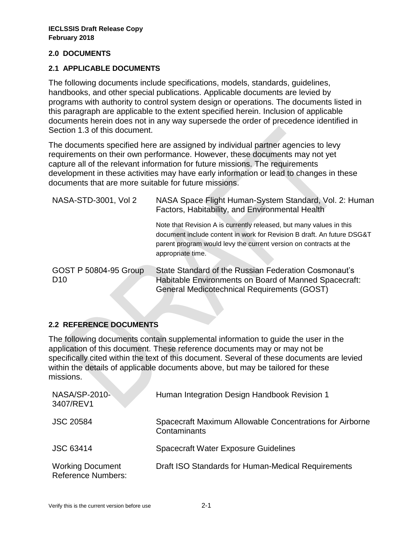## **2.0 DOCUMENTS**

## **2.1 APPLICABLE DOCUMENTS**

The following documents include specifications, models, standards, guidelines, handbooks, and other special publications. Applicable documents are levied by programs with authority to control system design or operations. The documents listed in this paragraph are applicable to the extent specified herein. Inclusion of applicable documents herein does not in any way supersede the order of precedence identified in Section 1.3 of this document.

The documents specified here are assigned by individual partner agencies to levy requirements on their own performance. However, these documents may not yet capture all of the relevant information for future missions. The requirements development in these activities may have early information or lead to changes in these documents that are more suitable for future missions.

| NASA-STD-3001, Vol 2                     | NASA Space Flight Human-System Standard, Vol. 2: Human<br>Factors, Habitability, and Environmental Health                                                                                                                               |
|------------------------------------------|-----------------------------------------------------------------------------------------------------------------------------------------------------------------------------------------------------------------------------------------|
|                                          | Note that Revision A is currently released, but many values in this<br>document include content in work for Revision B draft. An future DSG&T<br>parent program would levy the current version on contracts at the<br>appropriate time. |
| GOST P 50804-95 Group<br>D <sub>10</sub> | State Standard of the Russian Federation Cosmonaut's<br>Habitable Environments on Board of Manned Spacecraft:<br>General Medicotechnical Requirements (GOST)                                                                            |

# **2.2 REFERENCE DOCUMENTS**

The following documents contain supplemental information to guide the user in the application of this document. These reference documents may or may not be specifically cited within the text of this document. Several of these documents are levied within the details of applicable documents above, but may be tailored for these missions.

| <b>NASA/SP-2010-</b><br>3407/REV1                    | Human Integration Design Handbook Revision 1                             |
|------------------------------------------------------|--------------------------------------------------------------------------|
| <b>JSC 20584</b>                                     | Spacecraft Maximum Allowable Concentrations for Airborne<br>Contaminants |
| <b>JSC 63414</b>                                     | <b>Spacecraft Water Exposure Guidelines</b>                              |
| <b>Working Document</b><br><b>Reference Numbers:</b> | Draft ISO Standards for Human-Medical Requirements                       |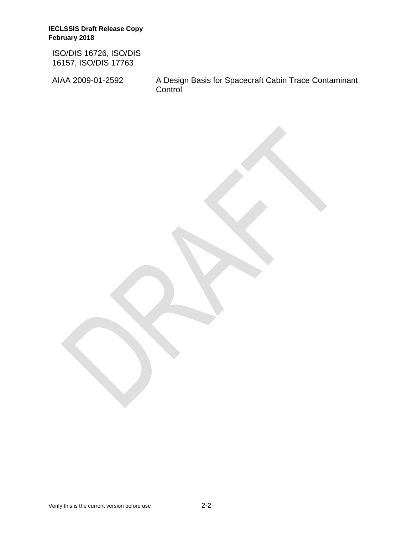ISO/DIS 16726, ISO/DIS 16157, ISO/DIS 17763

AIAA 2009-01-2592 A Design Basis for Spacecraft Cabin Trace Contaminant **Control**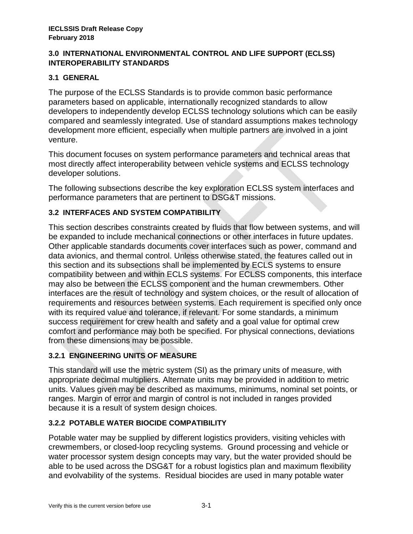## **3.0 INTERNATIONAL ENVIRONMENTAL CONTROL AND LIFE SUPPORT (ECLSS) INTEROPERABILITY STANDARDS**

# **3.1 GENERAL**

The purpose of the ECLSS Standards is to provide common basic performance parameters based on applicable, internationally recognized standards to allow developers to independently develop ECLSS technology solutions which can be easily compared and seamlessly integrated. Use of standard assumptions makes technology development more efficient, especially when multiple partners are involved in a joint venture.

This document focuses on system performance parameters and technical areas that most directly affect interoperability between vehicle systems and ECLSS technology developer solutions.

The following subsections describe the key exploration ECLSS system interfaces and performance parameters that are pertinent to DSG&T missions.

# **3.2 INTERFACES AND SYSTEM COMPATIBILITY**

This section describes constraints created by fluids that flow between systems, and will be expanded to include mechanical connections or other interfaces in future updates. Other applicable standards documents cover interfaces such as power, command and data avionics, and thermal control. Unless otherwise stated, the features called out in this section and its subsections shall be implemented by ECLS systems to ensure compatibility between and within ECLS systems. For ECLSS components, this interface may also be between the ECLSS component and the human crewmembers. Other interfaces are the result of technology and system choices, or the result of allocation of requirements and resources between systems. Each requirement is specified only once with its required value and tolerance, if relevant. For some standards, a minimum success requirement for crew health and safety and a goal value for optimal crew comfort and performance may both be specified. For physical connections, deviations from these dimensions may be possible.

# **3.2.1 ENGINEERING UNITS OF MEASURE**

This standard will use the metric system (SI) as the primary units of measure, with appropriate decimal multipliers. Alternate units may be provided in addition to metric units. Values given may be described as maximums, minimums, nominal set points, or ranges. Margin of error and margin of control is not included in ranges provided because it is a result of system design choices.

# <span id="page-10-0"></span>**3.2.2 POTABLE WATER BIOCIDE COMPATIBILITY**

Potable water may be supplied by different logistics providers, visiting vehicles with crewmembers, or closed-loop recycling systems. Ground processing and vehicle or water processor system design concepts may vary, but the water provided should be able to be used across the DSG&T for a robust logistics plan and maximum flexibility and evolvability of the systems. Residual biocides are used in many potable water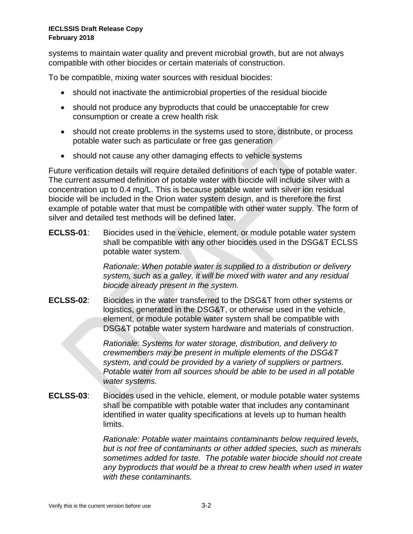systems to maintain water quality and prevent microbial growth, but are not always compatible with other biocides or certain materials of construction.

To be compatible, mixing water sources with residual biocides:

- should not inactivate the antimicrobial properties of the residual biocide
- should not produce any byproducts that could be unacceptable for crew consumption or create a crew health risk
- should not create problems in the systems used to store, distribute, or process potable water such as particulate or free gas generation
- should not cause any other damaging effects to vehicle systems

Future verification details will require detailed definitions of each type of potable water. The current assumed definition of potable water with biocide will include silver with a concentration up to 0.4 mg/L. This is because potable water with silver ion residual biocide will be included in the Orion water system design, and is therefore the first example of potable water that must be compatible with other water supply. The form of silver and detailed test methods will be defined later.

**ECLSS-01**: Biocides used in the vehicle, element, or module potable water system shall be compatible with any other biocides used in the DSG&T ECLSS potable water system.

> *Rationale: When potable water is supplied to a distribution or delivery system, such as a galley, it will be mixed with water and any residual biocide already present in the system.*

**ECLSS-02**: Biocides in the water transferred to the DSG&T from other systems or logistics, generated in the DSG&T, or otherwise used in the vehicle, element, or module potable water system shall be compatible with DSG&T potable water system hardware and materials of construction.

> *Rationale: Systems for water storage, distribution, and delivery to crewmembers may be present in multiple elements of the DSG&T system, and could be provided by a variety of suppliers or partners. Potable water from all sources should be able to be used in all potable water systems.*

**ECLSS-03**: Biocides used in the vehicle, element, or module potable water systems shall be compatible with potable water that includes any contaminant identified in water quality specifications at levels up to human health limits.

> *Rationale: Potable water maintains contaminants below required levels, but is not free of contaminants or other added species, such as minerals sometimes added for taste. The potable water biocide should not create any byproducts that would be a threat to crew health when used in water with these contaminants.*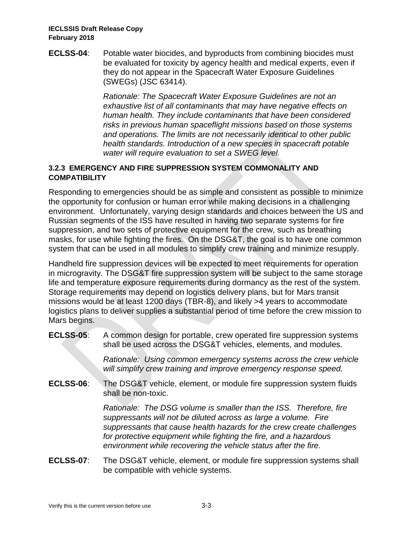**ECLSS-04**: Potable water biocides, and byproducts from combining biocides must be evaluated for toxicity by agency health and medical experts, even if they do not appear in the Spacecraft Water Exposure Guidelines (SWEGs) (JSC 63414).

> *Rationale: The Spacecraft Water Exposure Guidelines are not an exhaustive list of all contaminants that may have negative effects on human health. They include contaminants that have been considered risks in previous human spaceflight missions based on those systems and operations. The limits are not necessarily identical to other public health standards. Introduction of a new species in spacecraft potable water will require evaluation to set a SWEG level.*

# **3.2.3 EMERGENCY AND FIRE SUPPRESSION SYSTEM COMMONALITY AND COMPATIBILITY**

Responding to emergencies should be as simple and consistent as possible to minimize the opportunity for confusion or human error while making decisions in a challenging environment. Unfortunately, varying design standards and choices between the US and Russian segments of the ISS have resulted in having two separate systems for fire suppression, and two sets of protective equipment for the crew, such as breathing masks, for use while fighting the fires. On the DSG&T, the goal is to have one common system that can be used in all modules to simplify crew training and minimize resupply.

Handheld fire suppression devices will be expected to meet requirements for operation in microgravity. The DSG&T fire suppression system will be subject to the same storage life and temperature exposure requirements during dormancy as the rest of the system. Storage requirements may depend on logistics delivery plans, but for Mars transit missions would be at least 1200 days (TBR-8), and likely >4 years to accommodate logistics plans to deliver supplies a substantial period of time before the crew mission to Mars begins.

**ECLSS-05**: A common design for portable, crew operated fire suppression systems shall be used across the DSG&T vehicles, elements, and modules.

> *Rationale: Using common emergency systems across the crew vehicle will simplify crew training and improve emergency response speed.*

**ECLSS-06**: The DSG&T vehicle, element, or module fire suppression system fluids shall be non-toxic.

> *Rationale: The DSG volume is smaller than the ISS. Therefore, fire suppressants will not be diluted across as large a volume. Fire suppressants that cause health hazards for the crew create challenges for protective equipment while fighting the fire, and a hazardous environment while recovering the vehicle status after the fire.*

**ECLSS-07**: The DSG&T vehicle, element, or module fire suppression systems shall be compatible with vehicle systems.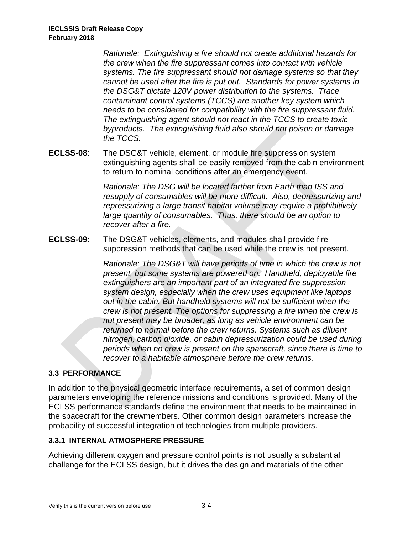*Rationale: Extinguishing a fire should not create additional hazards for the crew when the fire suppressant comes into contact with vehicle systems. The fire suppressant should not damage systems so that they cannot be used after the fire is put out. Standards for power systems in the DSG&T dictate 120V power distribution to the systems. Trace contaminant control systems (TCCS) are another key system which needs to be considered for compatibility with the fire suppressant fluid. The extinguishing agent should not react in the TCCS to create toxic byproducts. The extinguishing fluid also should not poison or damage the TCCS.*

**ECLSS-08**: The DSG&T vehicle, element, or module fire suppression system extinguishing agents shall be easily removed from the cabin environment to return to nominal conditions after an emergency event.

> *Rationale: The DSG will be located farther from Earth than ISS and resupply of consumables will be more difficult. Also, depressurizing and repressurizing a large transit habitat volume may require a prohibitively large quantity of consumables. Thus, there should be an option to recover after a fire.*

**ECLSS-09**: The DSG&T vehicles, elements, and modules shall provide fire suppression methods that can be used while the crew is not present.

> *Rationale: The DSG&T will have periods of time in which the crew is not present, but some systems are powered on. Handheld, deployable fire extinguishers are an important part of an integrated fire suppression system design, especially when the crew uses equipment like laptops out in the cabin. But handheld systems will not be sufficient when the crew is not present. The options for suppressing a fire when the crew is not present may be broader, as long as vehicle environment can be returned to normal before the crew returns. Systems such as diluent nitrogen, carbon dioxide, or cabin depressurization could be used during periods when no crew is present on the spacecraft, since there is time to recover to a habitable atmosphere before the crew returns.*

# **3.3 PERFORMANCE**

In addition to the physical geometric interface requirements, a set of common design parameters enveloping the reference missions and conditions is provided. Many of the ECLSS performance standards define the environment that needs to be maintained in the spacecraft for the crewmembers. Other common design parameters increase the probability of successful integration of technologies from multiple providers.

### <span id="page-13-0"></span>**3.3.1 INTERNAL ATMOSPHERE PRESSURE**

Achieving different oxygen and pressure control points is not usually a substantial challenge for the ECLSS design, but it drives the design and materials of the other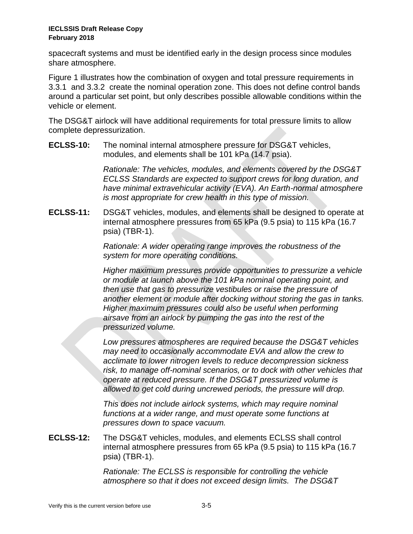spacecraft systems and must be identified early in the design process since modules share atmosphere.

[Figure 1](#page-18-0) illustrates how the combination of oxygen and total pressure requirements in [3.3.1 a](#page-13-0)nd [3.3.2 c](#page-15-0)reate the nominal operation zone. This does not define control bands around a particular set point, but only describes possible allowable conditions within the vehicle or element.

The DSG&T airlock will have additional requirements for total pressure limits to allow complete depressurization.

**ECLSS-10:** The nominal internal atmosphere pressure for DSG&T vehicles, modules, and elements shall be 101 kPa (14.7 psia).

> *Rationale: The vehicles, modules, and elements covered by the DSG&T ECLSS Standards are expected to support crews for long duration, and have minimal extravehicular activity (EVA). An Earth-normal atmosphere is most appropriate for crew health in this type of mission.*

**ECLSS-11:** DSG&T vehicles, modules, and elements shall be designed to operate at internal atmosphere pressures from 65 kPa (9.5 psia) to 115 kPa (16.7 psia) (TBR-1).

> *Rationale: A wider operating range improves the robustness of the system for more operating conditions.*

*Higher maximum pressures provide opportunities to pressurize a vehicle or module at launch above the 101 kPa nominal operating point, and then use that gas to pressurize vestibules or raise the pressure of another element or module after docking without storing the gas in tanks. Higher maximum pressures could also be useful when performing airsave from an airlock by pumping the gas into the rest of the pressurized volume.* 

*Low pressures atmospheres are required because the DSG&T vehicles may need to occasionally accommodate EVA and allow the crew to acclimate to lower nitrogen levels to reduce decompression sickness risk, to manage off-nominal scenarios, or to dock with other vehicles that operate at reduced pressure. If the DSG&T pressurized volume is allowed to get cold during uncrewed periods, the pressure will drop.* 

*This does not include airlock systems, which may require nominal functions at a wider range, and must operate some functions at pressures down to space vacuum.*

**ECLSS-12:** The DSG&T vehicles, modules, and elements ECLSS shall control internal atmosphere pressures from 65 kPa (9.5 psia) to 115 kPa (16.7 psia) (TBR-1).

> *Rationale: The ECLSS is responsible for controlling the vehicle atmosphere so that it does not exceed design limits. The DSG&T*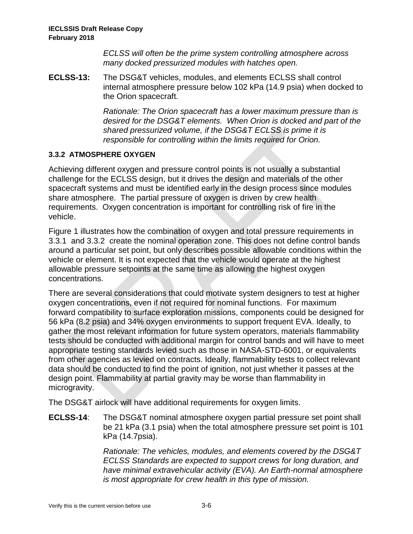*ECLSS will often be the prime system controlling atmosphere across many docked pressurized modules with hatches open.*

**ECLSS-13:** The DSG&T vehicles, modules, and elements ECLSS shall control internal atmosphere pressure below 102 kPa (14.9 psia) when docked to the Orion spacecraft.

> *Rationale: The Orion spacecraft has a lower maximum pressure than is desired for the DSG&T elements. When Orion is docked and part of the shared pressurized volume, if the DSG&T ECLSS is prime it is responsible for controlling within the limits required for Orion.*

# <span id="page-15-0"></span>**3.3.2 ATMOSPHERE OXYGEN**

Achieving different oxygen and pressure control points is not usually a substantial challenge for the ECLSS design, but it drives the design and materials of the other spacecraft systems and must be identified early in the design process since modules share atmosphere. The partial pressure of oxygen is driven by crew health requirements. Oxygen concentration is important for controlling risk of fire in the vehicle.

[Figure 1](#page-18-0) illustrates how the combination of oxygen and total pressure requirements in [3.3.1 a](#page-13-0)nd [3.3.2 c](#page-15-0)reate the nominal operation zone. This does not define control bands around a particular set point, but only describes possible allowable conditions within the vehicle or element. It is not expected that the vehicle would operate at the highest allowable pressure setpoints at the same time as allowing the highest oxygen concentrations.

There are several considerations that could motivate system designers to test at higher oxygen concentrations, even if not required for nominal functions. For maximum forward compatibility to surface exploration missions, components could be designed for 56 kPa (8.2 psia) and 34% oxygen environments to support frequent EVA. Ideally, to gather the most relevant information for future system operators, materials flammability tests should be conducted with additional margin for control bands and will have to meet appropriate testing standards levied such as those in NASA-STD-6001, or equivalents from other agencies as levied on contracts. Ideally, flammability tests to collect relevant data should be conducted to find the point of ignition, not just whether it passes at the design point. Flammability at partial gravity may be worse than flammability in microgravity.

The DSG&T airlock will have additional requirements for oxygen limits.

**ECLSS-14**: The DSG&T nominal atmosphere oxygen partial pressure set point shall be 21 kPa (3.1 psia) when the total atmosphere pressure set point is 101 kPa (14.7psia).

> *Rationale: The vehicles, modules, and elements covered by the DSG&T ECLSS Standards are expected to support crews for long duration, and have minimal extravehicular activity (EVA). An Earth-normal atmosphere is most appropriate for crew health in this type of mission.*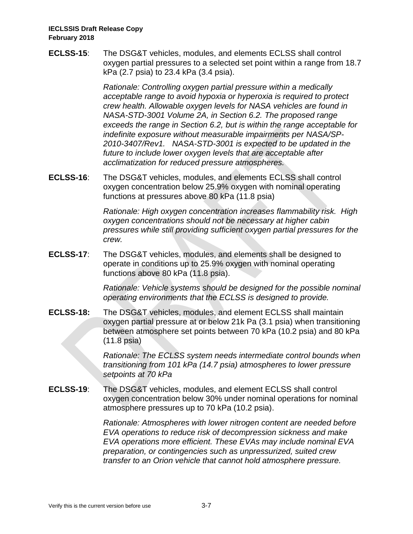**ECLSS-15**: The DSG&T vehicles, modules, and elements ECLSS shall control oxygen partial pressures to a selected set point within a range from 18.7 kPa (2.7 psia) to 23.4 kPa (3.4 psia).

> *Rationale: Controlling oxygen partial pressure within a medically acceptable range to avoid hypoxia or hyperoxia is required to protect crew health. Allowable oxygen levels for NASA vehicles are found in NASA-STD-3001 Volume 2A, in Section 6.2. The proposed range exceeds the range in Section 6.2, but is within the range acceptable for indefinite exposure without measurable impairments per NASA/SP-2010-3407/Rev1. NASA-STD-3001 is expected to be updated in the future to include lower oxygen levels that are acceptable after acclimatization for reduced pressure atmospheres.*

**ECLSS-16**: The DSG&T vehicles, modules, and elements ECLSS shall control oxygen concentration below 25.9% oxygen with nominal operating functions at pressures above 80 kPa (11.8 psia)

> *Rationale: High oxygen concentration increases flammability risk. High oxygen concentrations should not be necessary at higher cabin pressures while still providing sufficient oxygen partial pressures for the crew.*

**ECLSS-17**: The DSG&T vehicles, modules, and elements shall be designed to operate in conditions up to 25.9% oxygen with nominal operating functions above 80 kPa (11.8 psia).

> *Rationale: Vehicle systems should be designed for the possible nominal operating environments that the ECLSS is designed to provide.*

**ECLSS-18:** The DSG&T vehicles, modules, and element ECLSS shall maintain oxygen partial pressure at or below 21k Pa (3.1 psia) when transitioning between atmosphere set points between 70 kPa (10.2 psia) and 80 kPa (11.8 psia)

> *Rationale: The ECLSS system needs intermediate control bounds when transitioning from 101 kPa (14.7 psia) atmospheres to lower pressure setpoints at 70 kPa*

**ECLSS-19**: The DSG&T vehicles, modules, and element ECLSS shall control oxygen concentration below 30% under nominal operations for nominal atmosphere pressures up to 70 kPa (10.2 psia).

> *Rationale: Atmospheres with lower nitrogen content are needed before EVA operations to reduce risk of decompression sickness and make EVA operations more efficient. These EVAs may include nominal EVA preparation, or contingencies such as unpressurized, suited crew transfer to an Orion vehicle that cannot hold atmosphere pressure.*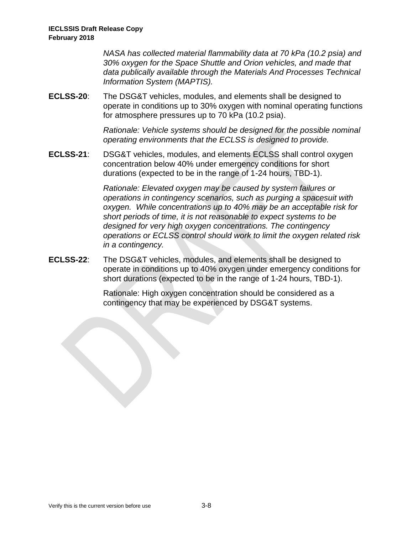*NASA has collected material flammability data at 70 kPa (10.2 psia) and 30% oxygen for the Space Shuttle and Orion vehicles, and made that data publically available through the Materials And Processes Technical Information System (MAPTIS).*

**ECLSS-20**: The DSG&T vehicles, modules, and elements shall be designed to operate in conditions up to 30% oxygen with nominal operating functions for atmosphere pressures up to 70 kPa (10.2 psia).

> *Rationale: Vehicle systems should be designed for the possible nominal operating environments that the ECLSS is designed to provide.*

**ECLSS-21**: DSG&T vehicles, modules, and elements ECLSS shall control oxygen concentration below 40% under emergency conditions for short durations (expected to be in the range of 1-24 hours, TBD-1).

> *Rationale: Elevated oxygen may be caused by system failures or operations in contingency scenarios, such as purging a spacesuit with oxygen. While concentrations up to 40% may be an acceptable risk for short periods of time, it is not reasonable to expect systems to be designed for very high oxygen concentrations. The contingency operations or ECLSS control should work to limit the oxygen related risk in a contingency.*

**ECLSS-22**: The DSG&T vehicles, modules, and elements shall be designed to operate in conditions up to 40% oxygen under emergency conditions for short durations (expected to be in the range of 1-24 hours, TBD-1).

> Rationale: High oxygen concentration should be considered as a contingency that may be experienced by DSG&T systems.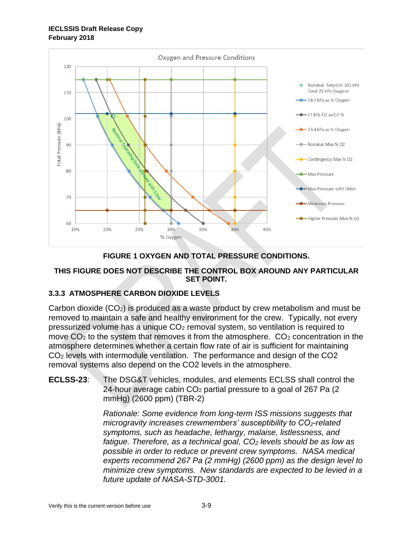

# **FIGURE 1 OXYGEN AND TOTAL PRESSURE CONDITIONS.**

## <span id="page-18-0"></span>**THIS FIGURE DOES NOT DESCRIBE THE CONTROL BOX AROUND ANY PARTICULAR SET POINT.**

# **3.3.3 ATMOSPHERE CARBON DIOXIDE LEVELS**

Carbon dioxide  $(CO_2)$  is produced as a waste product by crew metabolism and must be removed to maintain a safe and healthy environment for the crew. Typically, not every pressurized volume has a unique CO<sup>2</sup> removal system, so ventilation is required to move  $CO<sub>2</sub>$  to the system that removes it from the atmosphere.  $CO<sub>2</sub>$  concentration in the atmosphere determines whether a certain flow rate of air is sufficient for maintaining CO<sup>2</sup> levels with intermodule ventilation. The performance and design of the CO2 removal systems also depend on the CO2 levels in the atmosphere.

**ECLSS-23**: The DSG&T vehicles, modules, and elements ECLSS shall control the 24-hour average cabin  $CO<sub>2</sub>$  partial pressure to a goal of 267 Pa (2) mmHg) (2600 ppm) (TBR-2)

> *Rationale: Some evidence from long-term ISS missions suggests that microgravity increases crewmembers' susceptibility to CO2-related symptoms, such as headache, lethargy, malaise, listlessness, and fatigue. Therefore, as a technical goal, CO<sup>2</sup> levels should be as low as possible in order to reduce or prevent crew symptoms. NASA medical experts recommend 267 Pa (2 mmHg) (2600 ppm) as the design level to minimize crew symptoms. New standards are expected to be levied in a future update of NASA-STD-3001.*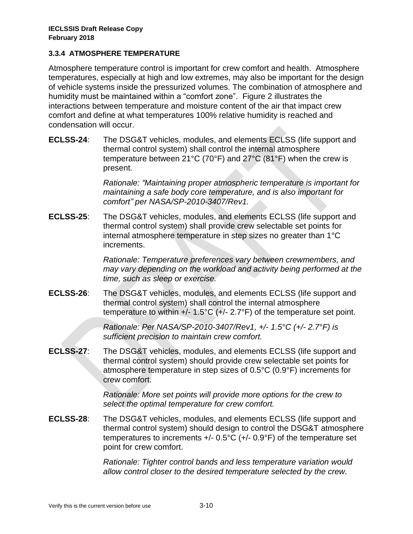## **3.3.4 ATMOSPHERE TEMPERATURE**

Atmosphere temperature control is important for crew comfort and health. Atmosphere temperatures, especially at high and low extremes, may also be important for the design of vehicle systems inside the pressurized volumes. The combination of atmosphere and humidity must be maintained within a "comfort zone". [Figure 2](#page-21-0) illustrates the interactions between temperature and moisture content of the air that impact crew comfort and define at what temperatures 100% relative humidity is reached and condensation will occur.

**ECLSS-24**: The DSG&T vehicles, modules, and elements ECLSS (life support and thermal control system) shall control the internal atmosphere temperature between 21°C (70°F) and 27°C (81°F) when the crew is present.

> *Rationale: "Maintaining proper atmospheric temperature is important for maintaining a safe body core temperature, and is also important for comfort" per NASA/SP-2010-3407/Rev1.*

**ECLSS-25**: The DSG&T vehicles, modules, and elements ECLSS (life support and thermal control system) shall provide crew selectable set points for internal atmosphere temperature in step sizes no greater than 1°C increments.

> *Rationale: Temperature preferences vary between crewmembers, and may vary depending on the workload and activity being performed at the time, such as sleep or exercise.*

**ECLSS-26**: The DSG&T vehicles, modules, and elements ECLSS (life support and thermal control system) shall control the internal atmosphere temperature to within  $+/- 1.5^{\circ}C (+/- 2.7^{\circ}F)$  of the temperature set point.

> *Rationale: Per NASA/SP-2010-3407/Rev1, +/- 1.5°C (+/- 2.7°F) is sufficient precision to maintain crew comfort.*

**ECLSS-27**: The DSG&T vehicles, modules, and elements ECLSS (life support and thermal control system) should provide crew selectable set points for atmosphere temperature in step sizes of 0.5°C (0.9°F) increments for crew comfort.

> *Rationale: More set points will provide more options for the crew to select the optimal temperature for crew comfort.*

**ECLSS-28**: The DSG&T vehicles, modules, and elements ECLSS (life support and thermal control system) should design to control the DSG&T atmosphere temperatures to increments +/- 0.5°C (+/- 0.9°F) of the temperature set point for crew comfort.

> *Rationale: Tighter control bands and less temperature variation would allow control closer to the desired temperature selected by the crew.*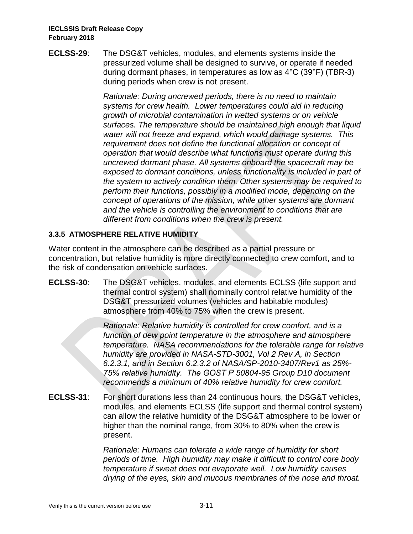**ECLSS-29**: The DSG&T vehicles, modules, and elements systems inside the pressurized volume shall be designed to survive, or operate if needed during dormant phases, in temperatures as low as 4°C (39°F) (TBR-3) during periods when crew is not present.

> *Rationale: During uncrewed periods, there is no need to maintain systems for crew health. Lower temperatures could aid in reducing growth of microbial contamination in wetted systems or on vehicle surfaces. The temperature should be maintained high enough that liquid water will not freeze and expand, which would damage systems. This requirement does not define the functional allocation or concept of operation that would describe what functions must operate during this uncrewed dormant phase. All systems onboard the spacecraft may be exposed to dormant conditions, unless functionality is included in part of the system to actively condition them. Other systems may be required to perform their functions, possibly in a modified mode, depending on the concept of operations of the mission, while other systems are dormant and the vehicle is controlling the environment to conditions that are different from conditions when the crew is present.*

# **3.3.5 ATMOSPHERE RELATIVE HUMIDITY**

Water content in the atmosphere can be described as a partial pressure or concentration, but relative humidity is more directly connected to crew comfort, and to the risk of condensation on vehicle surfaces.

**ECLSS-30**: The DSG&T vehicles, modules, and elements ECLSS (life support and thermal control system) shall nominally control relative humidity of the DSG&T pressurized volumes (vehicles and habitable modules) atmosphere from 40% to 75% when the crew is present.

> *Rationale: Relative humidity is controlled for crew comfort, and is a function of dew point temperature in the atmosphere and atmosphere temperature. NASA recommendations for the tolerable range for relative humidity are provided in NASA-STD-3001, Vol 2 Rev A, in Section 6.2.3.1, and in Section 6.2.3.2 of NASA/SP-2010-3407/Rev1 as 25%- 75% relative humidity. The GOST Р 50804-95 Group D10 document recommends a minimum of 40% relative humidity for crew comfort.*

**ECLSS-31**: For short durations less than 24 continuous hours, the DSG&T vehicles, modules, and elements ECLSS (life support and thermal control system) can allow the relative humidity of the DSG&T atmosphere to be lower or higher than the nominal range, from 30% to 80% when the crew is present.

> *Rationale: Humans can tolerate a wide range of humidity for short periods of time. High humidity may make it difficult to control core body temperature if sweat does not evaporate well. Low humidity causes drying of the eyes, skin and mucous membranes of the nose and throat.*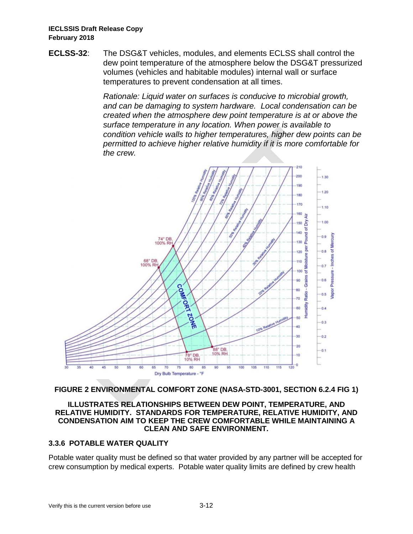**ECLSS-32**: The DSG&T vehicles, modules, and elements ECLSS shall control the dew point temperature of the atmosphere below the DSG&T pressurized volumes (vehicles and habitable modules) internal wall or surface temperatures to prevent condensation at all times.

> *Rationale: Liquid water on surfaces is conducive to microbial growth, and can be damaging to system hardware. Local condensation can be created when the atmosphere dew point temperature is at or above the surface temperature in any location. When power is available to condition vehicle walls to higher temperatures, higher dew points can be permitted to achieve higher relative humidity if it is more comfortable for the crew.*



### <span id="page-21-0"></span>**FIGURE 2 ENVIRONMENTAL COMFORT ZONE (NASA-STD-3001, SECTION 6.2.4 FIG 1)**

#### **ILLUSTRATES RELATIONSHIPS BETWEEN DEW POINT, TEMPERATURE, AND RELATIVE HUMIDITY. STANDARDS FOR TEMPERATURE, RELATIVE HUMIDITY, AND CONDENSATION AIM TO KEEP THE CREW COMFORTABLE WHILE MAINTAINING A CLEAN AND SAFE ENVIRONMENT.**

# **3.3.6 POTABLE WATER QUALITY**

Potable water quality must be defined so that water provided by any partner will be accepted for crew consumption by medical experts. Potable water quality limits are defined by crew health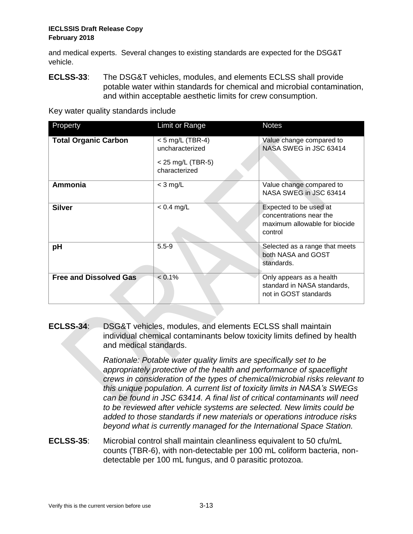and medical experts. Several changes to existing standards are expected for the DSG&T vehicle.

**ECLSS-33**: The DSG&T vehicles, modules, and elements ECLSS shall provide potable water within standards for chemical and microbial contamination, and within acceptable aesthetic limits for crew consumption.

Key water quality standards include

| Property                      | Limit or Range                                                                | <b>Notes</b>                                                                                  |
|-------------------------------|-------------------------------------------------------------------------------|-----------------------------------------------------------------------------------------------|
| <b>Total Organic Carbon</b>   | $<$ 5 mg/L (TBR-4)<br>uncharacterized<br>$<$ 25 mg/L (TBR-5)<br>characterized | Value change compared to<br>NASA SWEG in JSC 63414                                            |
| Ammonia                       | $<$ 3 mg/L                                                                    | Value change compared to<br>NASA SWEG in JSC 63414                                            |
| <b>Silver</b>                 | $< 0.4$ mg/L                                                                  | Expected to be used at<br>concentrations near the<br>maximum allowable for biocide<br>control |
| pH                            | $5.5 - 9$                                                                     | Selected as a range that meets<br>both NASA and GOST<br>standards.                            |
| <b>Free and Dissolved Gas</b> | $< 0.1\%$                                                                     | Only appears as a health<br>standard in NASA standards,<br>not in GOST standards              |

**ECLSS-34**: DSG&T vehicles, modules, and elements ECLSS shall maintain individual chemical contaminants below toxicity limits defined by health and medical standards.

> *Rationale: Potable water quality limits are specifically set to be appropriately protective of the health and performance of spaceflight crews in consideration of the types of chemical/microbial risks relevant to this unique population. A current list of toxicity limits in NASA's SWEGs can be found in JSC 63414. A final list of critical contaminants will need to be reviewed after vehicle systems are selected. New limits could be added to those standards if new materials or operations introduce risks beyond what is currently managed for the International Space Station.*

**ECLSS-35**: Microbial control shall maintain cleanliness equivalent to 50 cfu/mL counts (TBR-6), with non-detectable per 100 mL coliform bacteria, nondetectable per 100 mL fungus, and 0 parasitic protozoa.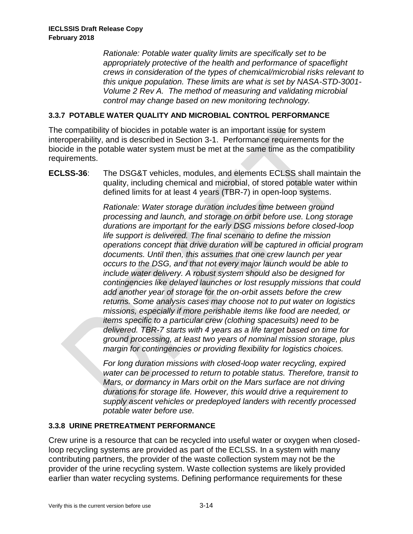*Rationale: Potable water quality limits are specifically set to be appropriately protective of the health and performance of spaceflight crews in consideration of the types of chemical/microbial risks relevant to this unique population. These limits are what is set by NASA-STD-3001- Volume 2 Rev A. The method of measuring and validating microbial control may change based on new monitoring technology.*

## **3.3.7 POTABLE WATER QUALITY AND MICROBIAL CONTROL PERFORMANCE**

The compatibility of biocides in potable water is an important issue for system interoperability, and is described in Section [3-1.](#page-10-0) Performance requirements for the biocide in the potable water system must be met at the same time as the compatibility requirements.

**ECLSS-36**: The DSG&T vehicles, modules, and elements ECLSS shall maintain the quality, including chemical and microbial, of stored potable water within defined limits for at least 4 years (TBR-7) in open-loop systems.

> *Rationale: Water storage duration includes time between ground processing and launch, and storage on orbit before use. Long storage durations are important for the early DSG missions before closed-loop life support is delivered. The final scenario to define the mission operations concept that drive duration will be captured in official program documents. Until then, this assumes that one crew launch per year occurs to the DSG, and that not every major launch would be able to include water delivery. A robust system should also be designed for contingencies like delayed launches or lost resupply missions that could add another year of storage for the on-orbit assets before the crew returns. Some analysis cases may choose not to put water on logistics missions, especially if more perishable items like food are needed, or items specific to a particular crew (clothing spacesuits) need to be delivered. TBR-7 starts with 4 years as a life target based on time for ground processing, at least two years of nominal mission storage, plus margin for contingencies or providing flexibility for logistics choices.*

*For long duration missions with closed-loop water recycling, expired water can be processed to return to potable status. Therefore, transit to Mars, or dormancy in Mars orbit on the Mars surface are not driving durations for storage life. However, this would drive a requirement to supply ascent vehicles or predeployed landers with recently processed potable water before use.*

### **3.3.8 URINE PRETREATMENT PERFORMANCE**

Crew urine is a resource that can be recycled into useful water or oxygen when closedloop recycling systems are provided as part of the ECLSS. In a system with many contributing partners, the provider of the waste collection system may not be the provider of the urine recycling system. Waste collection systems are likely provided earlier than water recycling systems. Defining performance requirements for these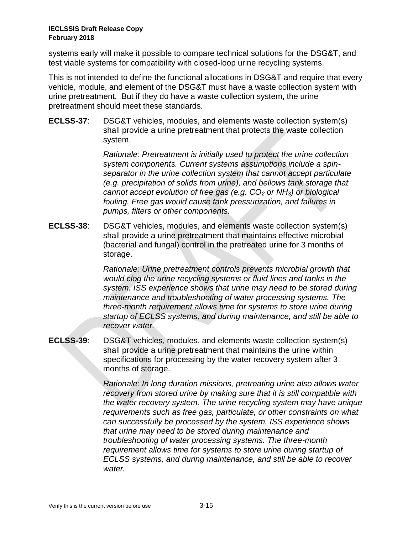systems early will make it possible to compare technical solutions for the DSG&T, and test viable systems for compatibility with closed-loop urine recycling systems.

This is not intended to define the functional allocations in DSG&T and require that every vehicle, module, and element of the DSG&T must have a waste collection system with urine pretreatment. But if they do have a waste collection system, the urine pretreatment should meet these standards.

**ECLSS-37**: DSG&T vehicles, modules, and elements waste collection system(s) shall provide a urine pretreatment that protects the waste collection system.

> *Rationale: Pretreatment is initially used to protect the urine collection system components. Current systems assumptions include a spinseparator in the urine collection system that cannot accept particulate (e.g. precipitation of solids from urine), and bellows tank storage that cannot accept evolution of free gas (e.g. CO<sup>2</sup> or NH3) or biological fouling. Free gas would cause tank pressurization, and failures in pumps, filters or other components.*

**ECLSS-38**: DSG&T vehicles, modules, and elements waste collection system(s) shall provide a urine pretreatment that maintains effective microbial (bacterial and fungal) control in the pretreated urine for 3 months of storage.

> *Rationale: Urine pretreatment controls prevents microbial growth that would clog the urine recycling systems or fluid lines and tanks in the system. ISS experience shows that urine may need to be stored during maintenance and troubleshooting of water processing systems. The three-month requirement allows time for systems to store urine during startup of ECLSS systems, and during maintenance, and still be able to recover water.*

**ECLSS-39**: DSG&T vehicles, modules, and elements waste collection system(s) shall provide a urine pretreatment that maintains the urine within specifications for processing by the water recovery system after 3 months of storage.

> *Rationale: In long duration missions, pretreating urine also allows water recovery from stored urine by making sure that it is still compatible with the water recovery system. The urine recycling system may have unique requirements such as free gas, particulate, or other constraints on what can successfully be processed by the system. ISS experience shows that urine may need to be stored during maintenance and troubleshooting of water processing systems. The three-month requirement allows time for systems to store urine during startup of ECLSS systems, and during maintenance, and still be able to recover water.*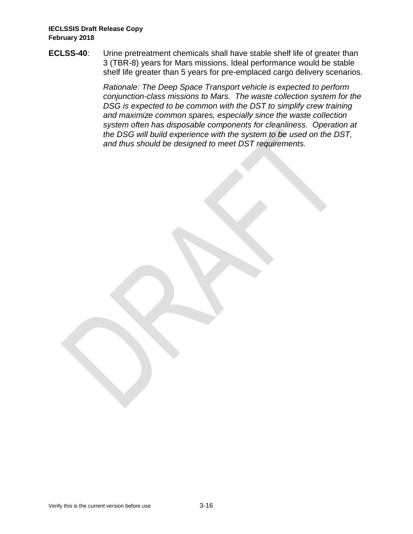**ECLSS-40**: Urine pretreatment chemicals shall have stable shelf life of greater than 3 (TBR-8) years for Mars missions. Ideal performance would be stable shelf life greater than 5 years for pre-emplaced cargo delivery scenarios.

> *Rationale: The Deep Space Transport vehicle is expected to perform conjunction-class missions to Mars. The waste collection system for the DSG is expected to be common with the DST to simplify crew training and maximize common spares, especially since the waste collection system often has disposable components for cleanliness. Operation at the DSG will build experience with the system to be used on the DST, and thus should be designed to meet DST requirements.*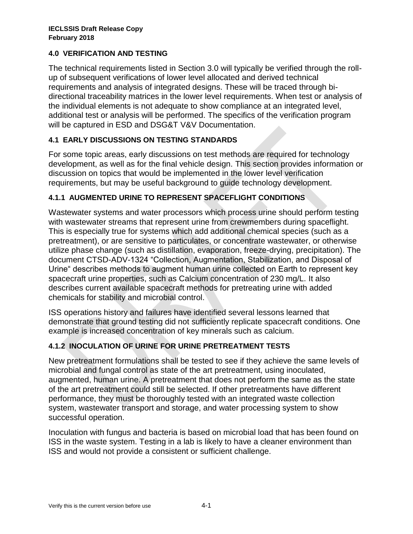# **4.0 VERIFICATION AND TESTING**

The technical requirements listed in Section 3.0 will typically be verified through the rollup of subsequent verifications of lower level allocated and derived technical requirements and analysis of integrated designs. These will be traced through bidirectional traceability matrices in the lower level requirements. When test or analysis of the individual elements is not adequate to show compliance at an integrated level, additional test or analysis will be performed. The specifics of the verification program will be captured in ESD and DSG&T V&V Documentation.

# **4.1 EARLY DISCUSSIONS ON TESTING STANDARDS**

For some topic areas, early discussions on test methods are required for technology development, as well as for the final vehicle design. This section provides information or discussion on topics that would be implemented in the lower level verification requirements, but may be useful background to guide technology development.

## **4.1.1 AUGMENTED URINE TO REPRESENT SPACEFLIGHT CONDITIONS**

Wastewater systems and water processors which process urine should perform testing with wastewater streams that represent urine from crewmembers during spaceflight. This is especially true for systems which add additional chemical species (such as a pretreatment), or are sensitive to particulates, or concentrate wastewater, or otherwise utilize phase change (such as distillation, evaporation, freeze-drying, precipitation). The document CTSD-ADV-1324 "Collection, Augmentation, Stabilization, and Disposal of Urine" describes methods to augment human urine collected on Earth to represent key spacecraft urine properties, such as Calcium concentration of 230 mg/L. It also describes current available spacecraft methods for pretreating urine with added chemicals for stability and microbial control.

ISS operations history and failures have identified several lessons learned that demonstrate that ground testing did not sufficiently replicate spacecraft conditions. One example is increased concentration of key minerals such as calcium.

# **4.1.2 INOCULATION OF URINE FOR URINE PRETREATMENT TESTS**

New pretreatment formulations shall be tested to see if they achieve the same levels of microbial and fungal control as state of the art pretreatment, using inoculated, augmented, human urine. A pretreatment that does not perform the same as the state of the art pretreatment could still be selected. If other pretreatments have different performance, they must be thoroughly tested with an integrated waste collection system, wastewater transport and storage, and water processing system to show successful operation.

Inoculation with fungus and bacteria is based on microbial load that has been found on ISS in the waste system. Testing in a lab is likely to have a cleaner environment than ISS and would not provide a consistent or sufficient challenge.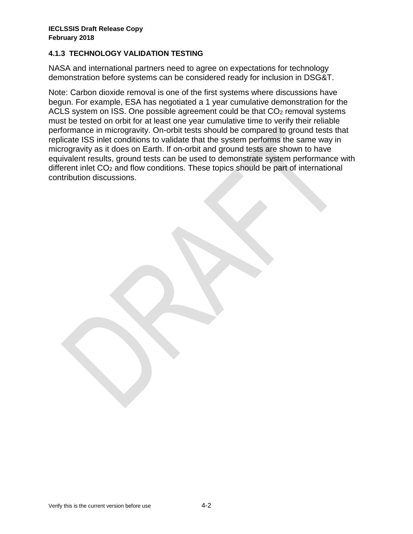## **4.1.3 TECHNOLOGY VALIDATION TESTING**

NASA and international partners need to agree on expectations for technology demonstration before systems can be considered ready for inclusion in DSG&T.

Note: Carbon dioxide removal is one of the first systems where discussions have begun. For example, ESA has negotiated a 1 year cumulative demonstration for the ACLS system on ISS. One possible agreement could be that  $CO<sub>2</sub>$  removal systems must be tested on orbit for at least one year cumulative time to verify their reliable performance in microgravity. On-orbit tests should be compared to ground tests that replicate ISS inlet conditions to validate that the system performs the same way in microgravity as it does on Earth. If on-orbit and ground tests are shown to have equivalent results, ground tests can be used to demonstrate system performance with different inlet  $CO<sub>2</sub>$  and flow conditions. These topics should be part of international contribution discussions.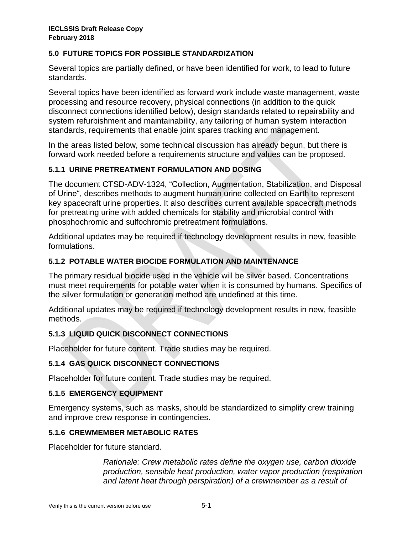# **5.0 FUTURE TOPICS FOR POSSIBLE STANDARDIZATION**

Several topics are partially defined, or have been identified for work, to lead to future standards.

Several topics have been identified as forward work include waste management, waste processing and resource recovery, physical connections (in addition to the quick disconnect connections identified below), design standards related to repairability and system refurbishment and maintainability, any tailoring of human system interaction standards, requirements that enable joint spares tracking and management.

In the areas listed below, some technical discussion has already begun, but there is forward work needed before a requirements structure and values can be proposed.

## **5.1.1 URINE PRETREATMENT FORMULATION AND DOSING**

The document CTSD-ADV-1324, "Collection, Augmentation, Stabilization, and Disposal of Urine", describes methods to augment human urine collected on Earth to represent key spacecraft urine properties. It also describes current available spacecraft methods for pretreating urine with added chemicals for stability and microbial control with phosphochromic and sulfochromic pretreatment formulations.

Additional updates may be required if technology development results in new, feasible formulations.

## **5.1.2 POTABLE WATER BIOCIDE FORMULATION AND MAINTENANCE**

The primary residual biocide used in the vehicle will be silver based. Concentrations must meet requirements for potable water when it is consumed by humans. Specifics of the silver formulation or generation method are undefined at this time.

Additional updates may be required if technology development results in new, feasible methods.

# **5.1.3 LIQUID QUICK DISCONNECT CONNECTIONS**

Placeholder for future content. Trade studies may be required.

### **5.1.4 GAS QUICK DISCONNECT CONNECTIONS**

Placeholder for future content. Trade studies may be required.

### **5.1.5 EMERGENCY EQUIPMENT**

Emergency systems, such as masks, should be standardized to simplify crew training and improve crew response in contingencies.

#### **5.1.6 CREWMEMBER METABOLIC RATES**

Placeholder for future standard.

*Rationale: Crew metabolic rates define the oxygen use, carbon dioxide production, sensible heat production, water vapor production (respiration and latent heat through perspiration) of a crewmember as a result of*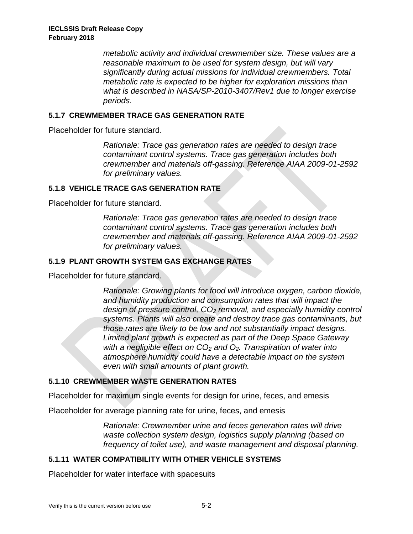*metabolic activity and individual crewmember size. These values are a reasonable maximum to be used for system design, but will vary significantly during actual missions for individual crewmembers. Total metabolic rate is expected to be higher for exploration missions than what is described in NASA/SP-2010-3407/Rev1 due to longer exercise periods.*

## **5.1.7 CREWMEMBER TRACE GAS GENERATION RATE**

Placeholder for future standard.

*Rationale: Trace gas generation rates are needed to design trace contaminant control systems. Trace gas generation includes both crewmember and materials off-gassing. Reference AIAA 2009-01-2592 for preliminary values.*

## **5.1.8 VEHICLE TRACE GAS GENERATION RATE**

Placeholder for future standard.

*Rationale: Trace gas generation rates are needed to design trace contaminant control systems. Trace gas generation includes both crewmember and materials off-gassing. Reference AIAA 2009-01-2592 for preliminary values.*

## **5.1.9 PLANT GROWTH SYSTEM GAS EXCHANGE RATES**

Placeholder for future standard.

*Rationale: Growing plants for food will introduce oxygen, carbon dioxide, and humidity production and consumption rates that will impact the design of pressure control, CO<sup>2</sup> removal, and especially humidity control systems. Plants will also create and destroy trace gas contaminants, but those rates are likely to be low and not substantially impact designs. Limited plant growth is expected as part of the Deep Space Gateway with a negligible effect on CO<sup>2</sup> and O2. Transpiration of water into atmosphere humidity could have a detectable impact on the system even with small amounts of plant growth.*

# **5.1.10 CREWMEMBER WASTE GENERATION RATES**

Placeholder for maximum single events for design for urine, feces, and emesis

Placeholder for average planning rate for urine, feces, and emesis

*Rationale: Crewmember urine and feces generation rates will drive waste collection system design, logistics supply planning (based on frequency of toilet use), and waste management and disposal planning.*

# **5.1.11 WATER COMPATIBILITY WITH OTHER VEHICLE SYSTEMS**

Placeholder for water interface with spacesuits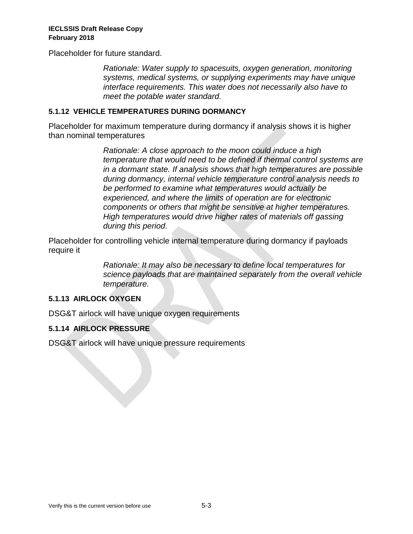Placeholder for future standard.

*Rationale: Water supply to spacesuits, oxygen generation, monitoring systems, medical systems, or supplying experiments may have unique interface requirements. This water does not necessarily also have to meet the potable water standard.*

# **5.1.12 VEHICLE TEMPERATURES DURING DORMANCY**

Placeholder for maximum temperature during dormancy if analysis shows it is higher than nominal temperatures

> *Rationale: A close approach to the moon could induce a high temperature that would need to be defined if thermal control systems are in a dormant state. If analysis shows that high temperatures are possible during dormancy, internal vehicle temperature control analysis needs to be performed to examine what temperatures would actually be experienced, and where the limits of operation are for electronic components or others that might be sensitive at higher temperatures. High temperatures would drive higher rates of materials off gassing during this period.*

Placeholder for controlling vehicle internal temperature during dormancy if payloads require it

> *Rationale: It may also be necessary to define local temperatures for science payloads that are maintained separately from the overall vehicle temperature.*

# **5.1.13 AIRLOCK OXYGEN**

DSG&T airlock will have unique oxygen requirements

# **5.1.14 AIRLOCK PRESSURE**

DSG&T airlock will have unique pressure requirements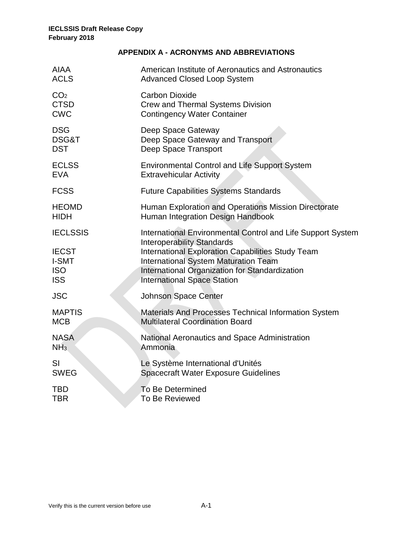# **APPENDIX A - ACRONYMS AND ABBREVIATIONS**

| American Institute of Aeronautics and Astronautics<br><b>Advanced Closed Loop System</b>                                                                                                                                                                                                     |
|----------------------------------------------------------------------------------------------------------------------------------------------------------------------------------------------------------------------------------------------------------------------------------------------|
| <b>Carbon Dioxide</b><br>Crew and Thermal Systems Division<br><b>Contingency Water Container</b>                                                                                                                                                                                             |
| Deep Space Gateway<br>Deep Space Gateway and Transport<br>Deep Space Transport                                                                                                                                                                                                               |
| <b>Environmental Control and Life Support System</b><br><b>Extravehicular Activity</b>                                                                                                                                                                                                       |
| <b>Future Capabilities Systems Standards</b>                                                                                                                                                                                                                                                 |
| Human Exploration and Operations Mission Directorate<br>Human Integration Design Handbook                                                                                                                                                                                                    |
| International Environmental Control and Life Support System<br><b>Interoperability Standards</b><br>International Exploration Capabilities Study Team<br><b>International System Maturation Team</b><br>International Organization for Standardization<br><b>International Space Station</b> |
| <b>Johnson Space Center</b>                                                                                                                                                                                                                                                                  |
| Materials And Processes Technical Information System<br><b>Multilateral Coordination Board</b>                                                                                                                                                                                               |
| National Aeronautics and Space Administration<br>Ammonia                                                                                                                                                                                                                                     |
| Le Système International d'Unités<br><b>Spacecraft Water Exposure Guidelines</b>                                                                                                                                                                                                             |
| To Be Determined<br><b>To Be Reviewed</b>                                                                                                                                                                                                                                                    |
|                                                                                                                                                                                                                                                                                              |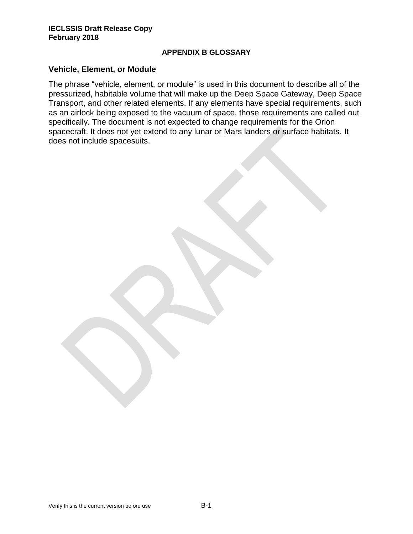#### **APPENDIX B GLOSSARY**

#### **Vehicle, Element, or Module**

The phrase "vehicle, element, or module" is used in this document to describe all of the pressurized, habitable volume that will make up the Deep Space Gateway, Deep Space Transport, and other related elements. If any elements have special requirements, such as an airlock being exposed to the vacuum of space, those requirements are called out specifically. The document is not expected to change requirements for the Orion spacecraft. It does not yet extend to any lunar or Mars landers or surface habitats. It does not include spacesuits.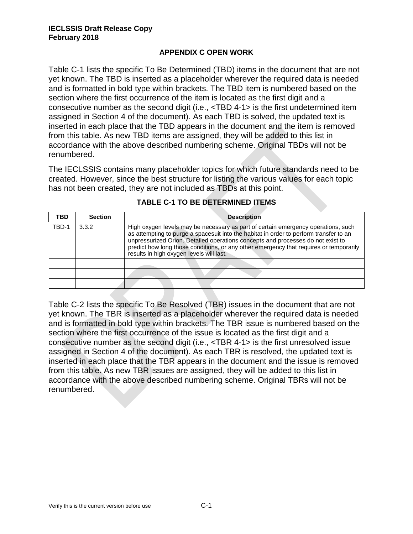## **APPENDIX C OPEN WORK**

Table C-1 lists the specific To Be Determined (TBD) items in the document that are not yet known. The TBD is inserted as a placeholder wherever the required data is needed and is formatted in bold type within brackets. The TBD item is numbered based on the section where the first occurrence of the item is located as the first digit and a consecutive number as the second digit (i.e., <TBD 4-1> is the first undetermined item assigned in Section 4 of the document). As each TBD is solved, the updated text is inserted in each place that the TBD appears in the document and the item is removed from this table. As new TBD items are assigned, they will be added to this list in accordance with the above described numbering scheme. Original TBDs will not be renumbered.

The IECLSSIS contains many placeholder topics for which future standards need to be created. However, since the best structure for listing the various values for each topic has not been created, they are not included as TBDs at this point.

| TBD   | <b>Section</b> | <b>Description</b>                                                                                                                                                                                                                                                                                                                                                                                   |  |
|-------|----------------|------------------------------------------------------------------------------------------------------------------------------------------------------------------------------------------------------------------------------------------------------------------------------------------------------------------------------------------------------------------------------------------------------|--|
| TBD-1 | 3.3.2          | High oxygen levels may be necessary as part of certain emergency operations, such<br>as attempting to purge a spacesuit into the habitat in order to perform transfer to an<br>unpressurized Orion. Detailed operations concepts and processes do not exist to<br>predict how long those conditions, or any other emergency that requires or temporarily<br>results in high oxygen levels will last. |  |
|       |                |                                                                                                                                                                                                                                                                                                                                                                                                      |  |
|       |                |                                                                                                                                                                                                                                                                                                                                                                                                      |  |
|       |                |                                                                                                                                                                                                                                                                                                                                                                                                      |  |

# **TABLE C-1 TO BE DETERMINED ITEMS**

Table C-2 lists the specific To Be Resolved (TBR) issues in the document that are not yet known. The TBR is inserted as a placeholder wherever the required data is needed and is formatted in bold type within brackets. The TBR issue is numbered based on the section where the first occurrence of the issue is located as the first digit and a consecutive number as the second digit (i.e., <TBR 4-1> is the first unresolved issue assigned in Section 4 of the document). As each TBR is resolved, the updated text is inserted in each place that the TBR appears in the document and the issue is removed from this table. As new TBR issues are assigned, they will be added to this list in accordance with the above described numbering scheme. Original TBRs will not be renumbered.